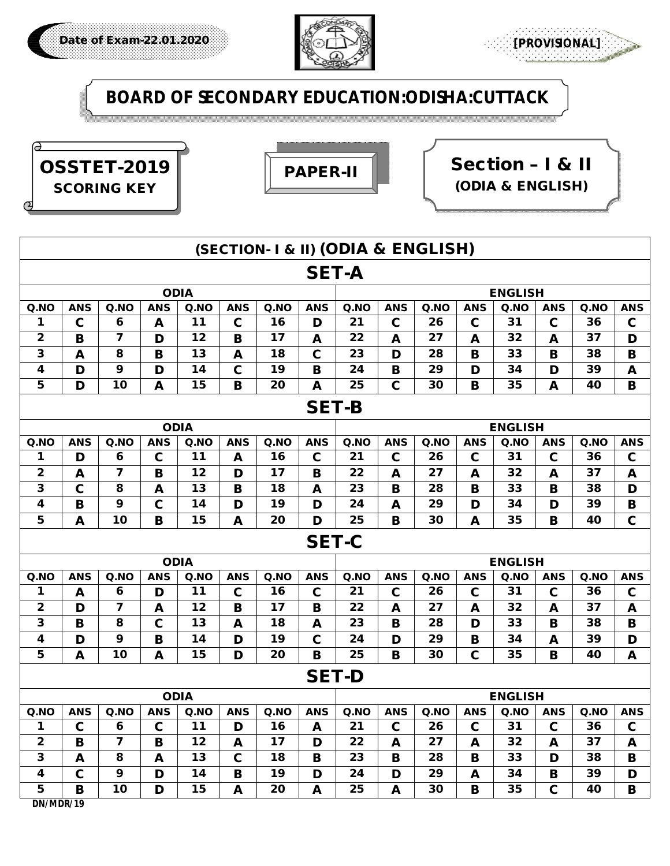



**BOARD OF SECONDARY EDUCATION:ODISHA:CUTTACK**







| (SECTION- I & II) (ODIA & ENGLISH) |             |                         |             |             |             |      |                |                |             |      |             |                               |              |      |              |
|------------------------------------|-------------|-------------------------|-------------|-------------|-------------|------|----------------|----------------|-------------|------|-------------|-------------------------------|--------------|------|--------------|
| <b>SET-A</b>                       |             |                         |             |             |             |      |                |                |             |      |             |                               |              |      |              |
| <b>ODIA</b>                        |             |                         |             |             |             |      | <b>ENGLISH</b> |                |             |      |             |                               |              |      |              |
| Q.NO                               | <b>ANS</b>  | Q.NO                    | <b>ANS</b>  | Q.NO        | <b>ANS</b>  | Q.NO | <b>ANS</b>     | Q.NO           | <b>ANS</b>  | Q.NO | <b>ANS</b>  | Q.NO                          | <b>ANS</b>   | Q.NO | <b>ANS</b>   |
| 1                                  | $\mathbf c$ | 6                       | A           | 11          | $\mathbf c$ | 16   | D              | 21             | $\mathbf c$ | 26   | $\mathbf c$ | 31                            | $\mathbf c$  | 36   | $\mathbf c$  |
| $\mathbf{2}$                       | B           | 7                       | D           | 12          | B           | 17   | A              | 22             | A           | 27   | A           | 32                            | $\mathbf{A}$ | 37   | D            |
| 3                                  | A           | 8                       | B           | 13          | A           | 18   | $\mathbf c$    | 23             | D           | 28   | B           | 33                            | B            | 38   | в            |
| 4                                  | D           | 9                       | D           | 14          | $\mathbf c$ | 19   | B              | 24             | B           | 29   | D           | 34                            | D            | 39   | A            |
| 5                                  | D           | 10                      | A           | 15          | B           | 20   | A              | 25             | $\mathbf c$ | 30   | B           | 35                            | A            | 40   | B            |
| <b>SET-B</b>                       |             |                         |             |             |             |      |                |                |             |      |             |                               |              |      |              |
| <b>ODIA</b>                        |             |                         |             |             |             |      | <b>ENGLISH</b> |                |             |      |             |                               |              |      |              |
| Q.NO                               | <b>ANS</b>  | Q.NO                    | <b>ANS</b>  | Q.NO        | <b>ANS</b>  | Q.NO | <b>ANS</b>     | Q.NO           | <b>ANS</b>  | Q.NO | <b>ANS</b>  | Q.NO                          | <b>ANS</b>   | Q.NO | <b>ANS</b>   |
| 1                                  | D           | 6                       | $\mathbf c$ | 11          | A           | 16   | $\mathbf c$    | 21             | $\mathbf c$ | 26   | $\mathbf c$ | 31                            | $\mathbf c$  | 36   | $\mathbf c$  |
| 2                                  | A           | 7                       | B           | 12          | D           | 17   | B              | 22             | A           | 27   | A           | 32                            | $\mathbf{A}$ | 37   | A            |
| $\overline{\mathbf{3}}$            | $\mathbf C$ | 8                       | A           | 13          | B           | 18   | A              | 23             | B           | 28   | B           | 33                            | B            | 38   | D            |
| 4                                  | B           | 9                       | $\mathbf c$ | 14          | D           | 19   | D              | 24             | A           | 29   | D           | 34                            | D            | 39   | B            |
| 5                                  | A           | 10                      | B           | 15          | A           | 20   | D              | 25             | B           | 30   | A           | 35                            | B            | 40   | $\mathbf c$  |
|                                    |             |                         |             |             |             |      | <b>SET-C</b>   |                |             |      |             |                               |              |      |              |
|                                    |             |                         |             | <b>ODIA</b> |             |      |                | <b>ENGLISH</b> |             |      |             |                               |              |      |              |
| Q.NO                               | <b>ANS</b>  | Q.NO                    | <b>ANS</b>  | Q.NO        | <b>ANS</b>  | Q.NO | <b>ANS</b>     | Q.NO           | <b>ANS</b>  | Q.NO | <b>ANS</b>  | Q <sub>n</sub> Q <sub>0</sub> | <b>ANS</b>   | Q.NO | <b>ANS</b>   |
| 1                                  | A           | 6                       | D           | 11          | $\mathbf c$ | 16   | $\mathbf c$    | 21             | $\mathbf c$ | 26   | $\mathbf c$ | 31                            | $\mathbf c$  | 36   | $\mathbf c$  |
| $\mathbf{2}$                       | D           | 7                       | A           | 12          | B           | 17   | B              | 22             | A           | 27   | A           | 32                            | $\mathbf{A}$ | 37   | A            |
| 3                                  | B           | 8                       | $\mathbf c$ | 13          | A           | 18   | A              | 23             | B           | 28   | D           | 33                            | B            | 38   | B            |
| 4                                  | D           | 9                       | $\mathbf B$ | 14          | D           | 19   | $\mathbf c$    | 24             | D           | 29   | B           | 34                            | $\mathbf{A}$ | 39   | D            |
| 5                                  | A           | 10                      | A           | 15          | D           | 20   | B              | 25             | B           | 30   | $\mathbf c$ | 35                            | B            | 40   | A            |
|                                    |             |                         |             |             |             |      | <b>SET-D</b>   |                |             |      |             |                               |              |      |              |
| <b>ODIA</b>                        |             |                         |             |             |             |      | <b>ENGLISH</b> |                |             |      |             |                               |              |      |              |
| Q.NO                               | <b>ANS</b>  | Q.NO                    | <b>ANS</b>  | Q.NO        | <b>ANS</b>  | Q.NO | <b>ANS</b>     | Q.NO           | <b>ANS</b>  | Q.NO | <b>ANS</b>  | Q.NO                          | <b>ANS</b>   | Q.NO | <b>ANS</b>   |
| 1                                  | $\mathbf c$ | $\boldsymbol{6}$        | $\mathbf c$ | 11          | D           | 16   | A              | 21             | $\mathbf C$ | 26   | $\mathbf C$ | 31                            | $\mathbf C$  | 36   | $\mathbf C$  |
| $\overline{\mathbf{2}}$            | B           | $\overline{\mathbf{z}}$ | B           | 12          | A           | 17   | D              | 22             | A           | 27   | A           | 32                            | A            | 37   | $\mathbf{A}$ |
| $\mathbf{3}$                       | A           | 8                       | A           | 13          | C.          | 18   | B              | 23             | B           | 28   | в           | 33                            | D            | 38   | B            |
| $\overline{\mathbf{4}}$            | $\mathbf c$ | 9                       | D           | 14          | В           | 19   | D              | 24             | D           | 29   | A           | 34                            | B            | 39   | D            |
| 5 <sub>5</sub>                     | B           | 10                      | D           | 15          | A           | 20   | A              | 25             | A           | 30   | В           | 35                            | $\mathbf C$  | 40   | B            |
| DN/MDR/19                          |             |                         |             |             |             |      |                |                |             |      |             |                               |              |      |              |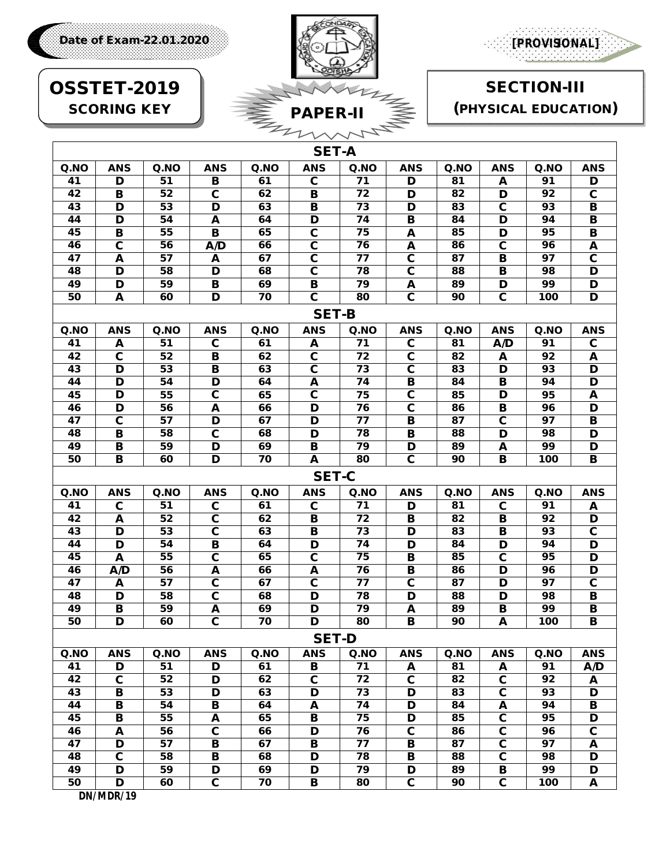

**SECTION-III** 

(PHYSICAL EDUCATION)



## **OSSTET-2019 SCORING KEY**

Date of Exam-22.01.2020

|                 |                         |      |                         |      | <b>SET-A</b>            |                 |                         |      |                         |      |                         |
|-----------------|-------------------------|------|-------------------------|------|-------------------------|-----------------|-------------------------|------|-------------------------|------|-------------------------|
| Q.NO            | <b>ANS</b>              | Q.NO | <b>ANS</b>              | Q.NO | <b>ANS</b>              | Q.NO            | <b>ANS</b>              | Q.NO | <b>ANS</b>              | Q.NO | <b>ANS</b>              |
| 41              | D                       | 51   | в                       | 61   | $\mathbf c$             | 71              | D                       | 81   | A                       | 91   | D                       |
| 42              | B                       | 52   | $\overline{\mathbf{c}}$ | 62   | в                       | 72              | D                       | 82   | D                       | 92   | $\overline{\mathbf{c}}$ |
| 43              | D                       | 53   | D                       | 63   | В                       | 73              | D                       | 83   | $\overline{\mathbf{c}}$ | 93   | В                       |
| 44              | $\overline{\mathbf{D}}$ | 54   | A                       | 64   | $\overline{\mathbf{D}}$ | 74              | $\overline{\mathbf{B}}$ | 84   | $\overline{\mathbf{D}}$ | 94   | В                       |
| 45              | В                       | 55   | B                       | 65   | $\overline{\mathbf{c}}$ | 75              | A                       | 85   | D                       | 95   | $\overline{\mathbf{B}}$ |
| 46              | $\overline{\mathbf{c}}$ | 56   | A/D                     | 66   | $\overline{\mathbf{c}}$ | 76              | A                       | 86   | $\overline{\mathbf{c}}$ | 96   | A                       |
| 47              | A                       | 57   | A                       | 67   | $\overline{\mathbf{c}}$ | 77              | $\overline{\mathbf{c}}$ | 87   | В                       | 97   | $\overline{\mathbf{c}}$ |
| 48              | D                       | 58   | D                       | 68   | $\overline{\mathbf{c}}$ | 78              | $\overline{\mathbf{c}}$ | 88   | В                       | 98   | D                       |
| 49              | D                       | 59   | B                       | 69   | в                       | 79              | A                       | 89   | D                       | 99   | D                       |
| 50              | A                       | 60   | $\overline{\mathbf{D}}$ | 70   | $\overline{\mathbf{c}}$ | 80              | $\overline{\mathbf{c}}$ | 90   | $\overline{\mathbf{c}}$ | 100  | $\overline{\mathbf{D}}$ |
| <b>SET-B</b>    |                         |      |                         |      |                         |                 |                         |      |                         |      |                         |
| Q.NO            | <b>ANS</b>              | Q.NO | <b>ANS</b>              | Q.NO | <b>ANS</b>              | Q.NO            | <b>ANS</b>              | Q.NO | <b>ANS</b>              | Q.NO | <b>ANS</b>              |
| 41              | A                       | 51   | $\overline{\mathbf{c}}$ | 61   | A                       | $\overline{71}$ | $\overline{\mathbf{c}}$ | 81   | A/D                     | 91   | $\overline{\mathbf{c}}$ |
| 42              | $\overline{\mathbf{c}}$ | 52   | B                       | 62   | $\overline{\mathbf{c}}$ | 72              | $\mathbf c$             | 82   | A                       | 92   | A                       |
| 43              | D                       | 53   | $\overline{\mathbf{B}}$ | 63   | $\overline{\mathbf{c}}$ | 73              | $\overline{\mathbf{c}}$ | 83   | $\overline{\mathbf{D}}$ | 93   | $\overline{\mathsf{D}}$ |
| 44              | D                       | 54   | D                       | 64   | A                       | 74              | B                       | 84   | В                       | 94   | D                       |
| 45              | D                       | 55   | $\overline{\mathbf{c}}$ | 65   | $\overline{\mathbf{c}}$ | 75              | $\overline{\mathbf{c}}$ | 85   | D                       | 95   | A                       |
| 46              | D                       | 56   | A                       | 66   | D                       | 76              | $\overline{\mathbf{c}}$ | 86   | В                       | 96   | D                       |
| 47              | $\overline{\mathbf{c}}$ | 57   | D                       | 67   | D                       | 77              | B                       | 87   | $\overline{\mathbf{c}}$ | 97   | $\overline{\mathbf{B}}$ |
| 48              | в                       | 58   | $\mathbf c$             | 68   | D                       | 78              | B                       | 88   | D                       | 98   | D                       |
| 49              | В                       | 59   | D                       | 69   | В                       | 79              | D                       | 89   | A                       | 99   | D                       |
| 50              | в                       | 60   | $\overline{\mathbf{D}}$ | 70   | A                       | 80              | $\overline{\mathbf{c}}$ | 90   | $\overline{\mathbf{B}}$ | 100  | $\overline{\mathbf{B}}$ |
|                 |                         |      |                         |      | <b>SET-C</b>            |                 |                         |      |                         |      |                         |
| Q.NO            | <b>ANS</b>              | Q.NO | <b>ANS</b>              | Q.NO | <b>ANS</b>              | Q.NO            | <b>ANS</b>              | Q.NO | <b>ANS</b>              | Q.NO | <b>ANS</b>              |
| 41              | $\mathbf c$             | 51   | $\mathbf c$             | 61   | C                       | 71              | D                       | 81   | $\mathbf c$             | 91   | A                       |
| 42              | A                       | 52   | $\overline{\mathbf{c}}$ | 62   | В                       | $\overline{72}$ | B                       | 82   | В                       | 92   | D                       |
| 43              | $\overline{\mathbf{D}}$ | 53   | $\overline{\mathbf{c}}$ | 63   | В                       | $\overline{73}$ | D                       | 83   | В                       | 93   | $\overline{\mathbf{c}}$ |
| 44              | D                       | 54   | B                       | 64   | D                       | 74              | D                       | 84   | D                       | 94   | D                       |
| 45              | A                       | 55   | $\overline{\mathbf{c}}$ | 65   | $\overline{\mathbf{c}}$ | 75              | B                       | 85   | $\overline{\mathbf{c}}$ | 95   | $\overline{\mathsf{D}}$ |
| 46              | A/D                     | 56   | A                       | 66   | A                       | 76              | B                       | 86   | D                       | 96   | D                       |
| 47              | A                       | 57   | $\mathbf c$             | 67   | $\mathbf c$             | 77              | $\mathbf c$             | 87   | D                       | 97   | C                       |
| 48              | D                       | 58   | $\mathbf c$             | 68   | D                       | 78              | D                       | 88   | D                       | 98   | B                       |
| 49              | В                       | 59   | A                       | 69   | D                       | 79              | A                       | 89   | В                       | 99   | $\overline{\mathbf{B}}$ |
| 50              | D                       | 60   | C                       | 70   | D                       | 80              | B                       | 90   | A                       | 100  | В                       |
|                 |                         |      |                         |      | <b>SET-D</b>            |                 |                         |      |                         |      |                         |
| Q.NO            | <b>ANS</b>              | Q.NO | <b>ANS</b>              | Q.NO | <b>ANS</b>              | Q.NO            | <b>ANS</b>              | Q.NO | <b>ANS</b>              | Q.NO | <b>ANS</b>              |
| 41              | D                       | 51   | D                       | 61   | В                       | 71              | A                       | 81   | A                       | 91   | A/D                     |
| $\overline{42}$ | $\overline{\mathbf{c}}$ | 52   | D                       | 62   | $\overline{\mathbf{c}}$ | $\overline{72}$ | $\mathbf c$             | 82   | $\overline{\mathbf{c}}$ | 92   | A                       |
| 43              | В                       | 53   | D                       | 63   | D                       | 73              | D                       | 83   | $\overline{\mathbf{c}}$ | 93   | D                       |
| 44              | $\overline{\mathbf{B}}$ | 54   | $\overline{\mathbf{B}}$ | 64   | A                       | 74              | D                       | 84   | A                       | 94   | $\overline{\mathbf{B}}$ |
| 45              | В                       | 55   | A                       | 65   | В                       | 75              | D                       | 85   | $\overline{\mathbf{c}}$ | 95   | D                       |
| 46              | A                       | 56   | $\overline{\mathbf{c}}$ | 66   | D                       | 76              | $\overline{\mathbf{c}}$ | 86   | $\overline{\mathbf{c}}$ | 96   | $\overline{\mathbf{c}}$ |
| $\overline{47}$ | D                       | 57   | $\overline{\mathbf{B}}$ | 67   | $\overline{\mathbf{B}}$ | 77              | В                       | 87   | $\overline{\mathbf{c}}$ | 97   | A                       |
| 48              | $\overline{\mathbf{c}}$ | 58   | В                       | 68   | D                       | 78              | В                       | 88   | $\overline{\mathbf{c}}$ | 98   | D                       |
| 49              | D                       | 59   | D                       | 69   | D                       | 79              | D                       | 89   | В                       | 99   | D                       |
| 50              | D                       | 60   | $\overline{\mathbf{c}}$ | 70   | В                       | 80              | $\overline{\mathbf{c}}$ | 90   | $\overline{\mathbf{c}}$ | 100  | A                       |

DN/MDR/19